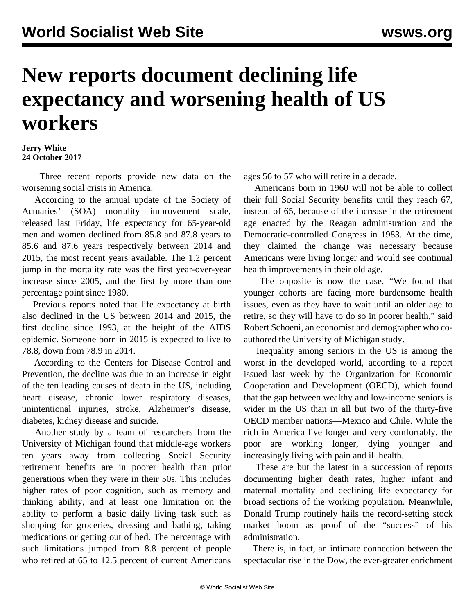## **New reports document declining life expectancy and worsening health of US workers**

## **Jerry White 24 October 2017**

 Three recent reports provide new data on the worsening social crisis in America.

 According to the annual update of the Society of Actuaries' (SOA) mortality improvement scale, released last Friday, life expectancy for 65-year-old men and women declined from 85.8 and 87.8 years to 85.6 and 87.6 years respectively between 2014 and 2015, the most recent years available. The 1.2 percent jump in the mortality rate was the first year-over-year increase since 2005, and the first by more than one percentage point since 1980.

 Previous reports noted that life expectancy at birth also declined in the US between 2014 and 2015, the first decline since 1993, at the height of the AIDS epidemic. Someone born in 2015 is expected to live to 78.8, down from 78.9 in 2014.

 According to the Centers for Disease Control and Prevention, the decline was due to an increase in eight of the ten leading causes of death in the US, including heart disease, chronic lower respiratory diseases, unintentional injuries, stroke, Alzheimer's disease, diabetes, kidney disease and suicide.

 Another study by a team of researchers from the University of Michigan found that middle-age workers ten years away from collecting Social Security retirement benefits are in poorer health than prior generations when they were in their 50s. This includes higher rates of poor cognition, such as memory and thinking ability, and at least one limitation on the ability to perform a basic daily living task such as shopping for groceries, dressing and bathing, taking medications or getting out of bed. The percentage with such limitations jumped from 8.8 percent of people who retired at 65 to 12.5 percent of current Americans

ages 56 to 57 who will retire in a decade.

 Americans born in 1960 will not be able to collect their full Social Security benefits until they reach 67, instead of 65, because of the increase in the retirement age enacted by the Reagan administration and the Democratic-controlled Congress in 1983. At the time, they claimed the change was necessary because Americans were living longer and would see continual health improvements in their old age.

 The opposite is now the case. "We found that younger cohorts are facing more burdensome health issues, even as they have to wait until an older age to retire, so they will have to do so in poorer health," said Robert Schoeni, an economist and demographer who coauthored the University of Michigan study.

 Inequality among seniors in the US is among the worst in the developed world, according to a report issued last week by the Organization for Economic Cooperation and Development (OECD), which found that the gap between wealthy and low-income seniors is wider in the US than in all but two of the thirty-five OECD member nations—Mexico and Chile. While the rich in America live longer and very comfortably, the poor are working longer, dying younger and increasingly living with pain and ill health.

 These are but the latest in a succession of reports documenting higher death rates, higher infant and maternal mortality and declining life expectancy for broad sections of the working population. Meanwhile, Donald Trump routinely hails the record-setting stock market boom as proof of the "success" of his administration.

 There is, in fact, an intimate connection between the spectacular rise in the Dow, the ever-greater enrichment